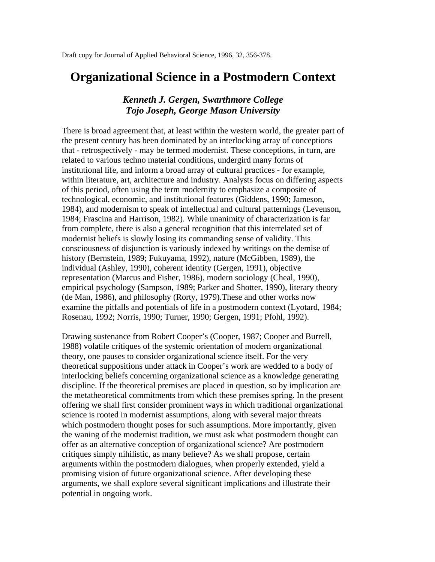# **Organizational Science in a Postmodern Context**

# *Kenneth J. Gergen, Swarthmore College Tojo Joseph, George Mason University*

There is broad agreement that, at least within the western world, the greater part of the present century has been dominated by an interlocking array of conceptions that - retrospectively - may be termed modernist. These conceptions, in turn, are related to various techno material conditions, undergird many forms of institutional life, and inform a broad array of cultural practices - for example, within literature, art, architecture and industry. Analysts focus on differing aspects of this period, often using the term modernity to emphasize a composite of technological, economic, and institutional features (Giddens, 1990; Jameson, 1984), and modernism to speak of intellectual and cultural patternings (Levenson, 1984; Frascina and Harrison, 1982). While unanimity of characterization is far from complete, there is also a general recognition that this interrelated set of modernist beliefs is slowly losing its commanding sense of validity. This consciousness of disjunction is variously indexed by writings on the demise of history (Bernstein, 1989; Fukuyama, 1992), nature (McGibben, 1989), the individual (Ashley, 1990), coherent identity (Gergen, 1991), objective representation (Marcus and Fisher, 1986), modern sociology (Cheal, 1990), empirical psychology (Sampson, 1989; Parker and Shotter, 1990), literary theory (de Man, 1986), and philosophy (Rorty, 1979).These and other works now examine the pitfalls and potentials of life in a postmodern context (Lyotard, 1984; Rosenau, 1992; Norris, 1990; Turner, 1990; Gergen, 1991; Pfohl, 1992).

Drawing sustenance from Robert Cooper's (Cooper, 1987; Cooper and Burrell, 1988) volatile critiques of the systemic orientation of modern organizational theory, one pauses to consider organizational science itself. For the very theoretical suppositions under attack in Cooper's work are wedded to a body of interlocking beliefs concerning organizational science as a knowledge generating discipline. If the theoretical premises are placed in question, so by implication are the metatheoretical commitments from which these premises spring. In the present offering we shall first consider prominent ways in which traditional organizational science is rooted in modernist assumptions, along with several major threats which postmodern thought poses for such assumptions. More importantly, given the waning of the modernist tradition, we must ask what postmodern thought can offer as an alternative conception of organizational science? Are postmodern critiques simply nihilistic, as many believe? As we shall propose, certain arguments within the postmodern dialogues, when properly extended, yield a promising vision of future organizational science. After developing these arguments, we shall explore several significant implications and illustrate their potential in ongoing work.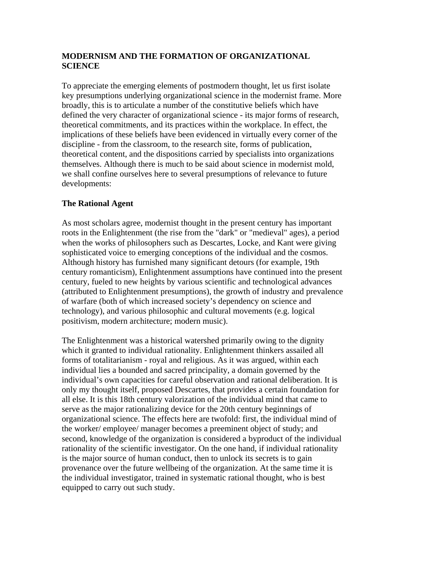## **MODERNISM AND THE FORMATION OF ORGANIZATIONAL SCIENCE**

To appreciate the emerging elements of postmodern thought, let us first isolate key presumptions underlying organizational science in the modernist frame. More broadly, this is to articulate a number of the constitutive beliefs which have defined the very character of organizational science - its major forms of research, theoretical commitments, and its practices within the workplace. In effect, the implications of these beliefs have been evidenced in virtually every corner of the discipline - from the classroom, to the research site, forms of publication, theoretical content, and the dispositions carried by specialists into organizations themselves. Although there is much to be said about science in modernist mold, we shall confine ourselves here to several presumptions of relevance to future developments:

## **The Rational Agent**

As most scholars agree, modernist thought in the present century has important roots in the Enlightenment (the rise from the "dark" or "medieval" ages), a period when the works of philosophers such as Descartes, Locke, and Kant were giving sophisticated voice to emerging conceptions of the individual and the cosmos. Although history has furnished many significant detours (for example, 19th century romanticism), Enlightenment assumptions have continued into the present century, fueled to new heights by various scientific and technological advances (attributed to Enlightenment presumptions), the growth of industry and prevalence of warfare (both of which increased society's dependency on science and technology), and various philosophic and cultural movements (e.g. logical positivism, modern architecture; modern music).

The Enlightenment was a historical watershed primarily owing to the dignity which it granted to individual rationality. Enlightenment thinkers assailed all forms of totalitarianism - royal and religious. As it was argued, within each individual lies a bounded and sacred principality, a domain governed by the individual's own capacities for careful observation and rational deliberation. It is only my thought itself, proposed Descartes, that provides a certain foundation for all else. It is this 18th century valorization of the individual mind that came to serve as the major rationalizing device for the 20th century beginnings of organizational science. The effects here are twofold: first, the individual mind of the worker/ employee/ manager becomes a preeminent object of study; and second, knowledge of the organization is considered a byproduct of the individual rationality of the scientific investigator. On the one hand, if individual rationality is the major source of human conduct, then to unlock its secrets is to gain provenance over the future wellbeing of the organization. At the same time it is the individual investigator, trained in systematic rational thought, who is best equipped to carry out such study.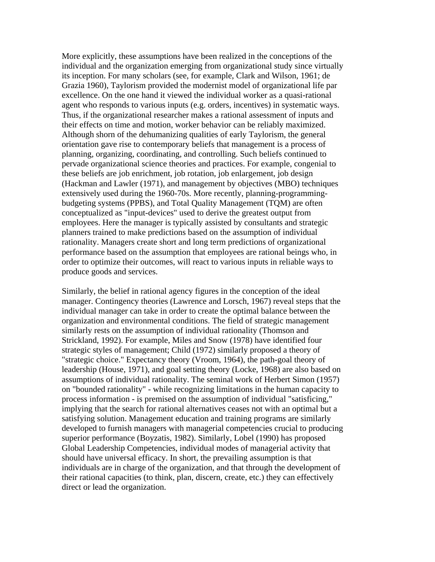More explicitly, these assumptions have been realized in the conceptions of the individual and the organization emerging from organizational study since virtually its inception. For many scholars (see, for example, Clark and Wilson, 1961; de Grazia 1960), Taylorism provided the modernist model of organizational life par excellence. On the one hand it viewed the individual worker as a quasi-rational agent who responds to various inputs (e.g. orders, incentives) in systematic ways. Thus, if the organizational researcher makes a rational assessment of inputs and their effects on time and motion, worker behavior can be reliably maximized. Although shorn of the dehumanizing qualities of early Taylorism, the general orientation gave rise to contemporary beliefs that management is a process of planning, organizing, coordinating, and controlling. Such beliefs continued to pervade organizational science theories and practices. For example, congenial to these beliefs are job enrichment, job rotation, job enlargement, job design (Hackman and Lawler (1971), and management by objectives (MBO) techniques extensively used during the 1960-70s. More recently, planning-programmingbudgeting systems (PPBS), and Total Quality Management (TQM) are often conceptualized as "input-devices" used to derive the greatest output from employees. Here the manager is typically assisted by consultants and strategic planners trained to make predictions based on the assumption of individual rationality. Managers create short and long term predictions of organizational performance based on the assumption that employees are rational beings who, in order to optimize their outcomes, will react to various inputs in reliable ways to produce goods and services.

Similarly, the belief in rational agency figures in the conception of the ideal manager. Contingency theories (Lawrence and Lorsch, 1967) reveal steps that the individual manager can take in order to create the optimal balance between the organization and environmental conditions. The field of strategic management similarly rests on the assumption of individual rationality (Thomson and Strickland, 1992). For example, Miles and Snow (1978) have identified four strategic styles of management; Child (1972) similarly proposed a theory of "strategic choice." Expectancy theory (Vroom, 1964), the path-goal theory of leadership (House, 1971), and goal setting theory (Locke, 1968) are also based on assumptions of individual rationality. The seminal work of Herbert Simon (1957) on "bounded rationality" - while recognizing limitations in the human capacity to process information - is premised on the assumption of individual "satisficing," implying that the search for rational alternatives ceases not with an optimal but a satisfying solution. Management education and training programs are similarly developed to furnish managers with managerial competencies crucial to producing superior performance (Boyzatis, 1982). Similarly, Lobel (1990) has proposed Global Leadership Competencies, individual modes of managerial activity that should have universal efficacy. In short, the prevailing assumption is that individuals are in charge of the organization, and that through the development of their rational capacities (to think, plan, discern, create, etc.) they can effectively direct or lead the organization.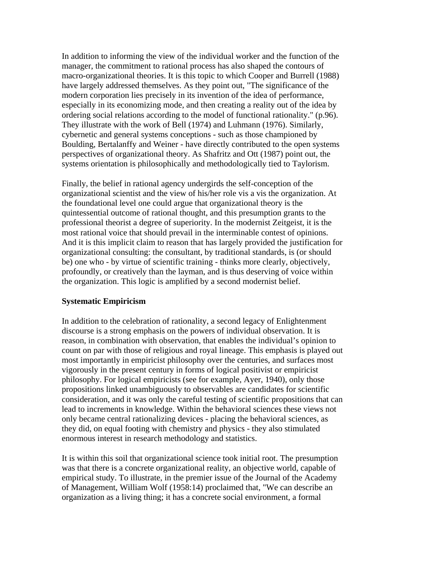In addition to informing the view of the individual worker and the function of the manager, the commitment to rational process has also shaped the contours of macro-organizational theories. It is this topic to which Cooper and Burrell (1988) have largely addressed themselves. As they point out, "The significance of the modern corporation lies precisely in its invention of the idea of performance, especially in its economizing mode, and then creating a reality out of the idea by ordering social relations according to the model of functional rationality." (p.96). They illustrate with the work of Bell (1974) and Luhmann (1976). Similarly, cybernetic and general systems conceptions - such as those championed by Boulding, Bertalanffy and Weiner - have directly contributed to the open systems perspectives of organizational theory. As Shafritz and Ott (1987) point out, the systems orientation is philosophically and methodologically tied to Taylorism.

Finally, the belief in rational agency undergirds the self-conception of the organizational scientist and the view of his/her role vis a vis the organization. At the foundational level one could argue that organizational theory is the quintessential outcome of rational thought, and this presumption grants to the professional theorist a degree of superiority. In the modernist Zeitgeist, it is the most rational voice that should prevail in the interminable contest of opinions. And it is this implicit claim to reason that has largely provided the justification for organizational consulting: the consultant, by traditional standards, is (or should be) one who - by virtue of scientific training - thinks more clearly, objectively, profoundly, or creatively than the layman, and is thus deserving of voice within the organization. This logic is amplified by a second modernist belief.

## **Systematic Empiricism**

In addition to the celebration of rationality, a second legacy of Enlightenment discourse is a strong emphasis on the powers of individual observation. It is reason, in combination with observation, that enables the individual's opinion to count on par with those of religious and royal lineage. This emphasis is played out most importantly in empiricist philosophy over the centuries, and surfaces most vigorously in the present century in forms of logical positivist or empiricist philosophy. For logical empiricists (see for example, Ayer, 1940), only those propositions linked unambiguously to observables are candidates for scientific consideration, and it was only the careful testing of scientific propositions that can lead to increments in knowledge. Within the behavioral sciences these views not only became central rationalizing devices - placing the behavioral sciences, as they did, on equal footing with chemistry and physics - they also stimulated enormous interest in research methodology and statistics.

It is within this soil that organizational science took initial root. The presumption was that there is a concrete organizational reality, an objective world, capable of empirical study. To illustrate, in the premier issue of the Journal of the Academy of Management, William Wolf (1958:14) proclaimed that, "We can describe an organization as a living thing; it has a concrete social environment, a formal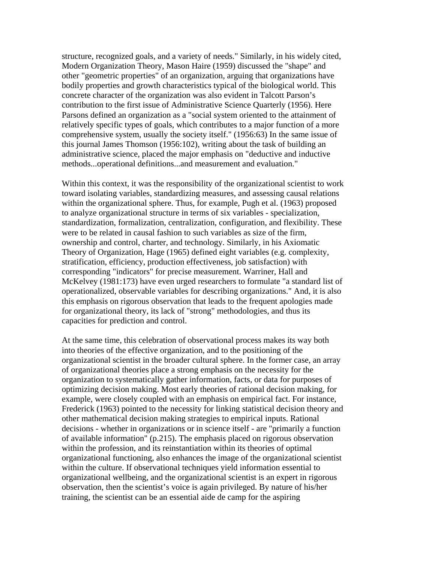structure, recognized goals, and a variety of needs." Similarly, in his widely cited, Modern Organization Theory, Mason Haire (1959) discussed the "shape" and other "geometric properties" of an organization, arguing that organizations have bodily properties and growth characteristics typical of the biological world. This concrete character of the organization was also evident in Talcott Parson's contribution to the first issue of Administrative Science Quarterly (1956). Here Parsons defined an organization as a "social system oriented to the attainment of relatively specific types of goals, which contributes to a major function of a more comprehensive system, usually the society itself." (1956:63) In the same issue of this journal James Thomson (1956:102), writing about the task of building an administrative science, placed the major emphasis on "deductive and inductive methods...operational definitions...and measurement and evaluation."

Within this context, it was the responsibility of the organizational scientist to work toward isolating variables, standardizing measures, and assessing causal relations within the organizational sphere. Thus, for example, Pugh et al. (1963) proposed to analyze organizational structure in terms of six variables - specialization, standardization, formalization, centralization, configuration, and flexibility. These were to be related in causal fashion to such variables as size of the firm, ownership and control, charter, and technology. Similarly, in his Axiomatic Theory of Organization, Hage (1965) defined eight variables (e.g. complexity, stratification, efficiency, production effectiveness, job satisfaction) with corresponding "indicators" for precise measurement. Warriner, Hall and McKelvey (1981:173) have even urged researchers to formulate "a standard list of operationalized, observable variables for describing organizations." And, it is also this emphasis on rigorous observation that leads to the frequent apologies made for organizational theory, its lack of "strong" methodologies, and thus its capacities for prediction and control.

At the same time, this celebration of observational process makes its way both into theories of the effective organization, and to the positioning of the organizational scientist in the broader cultural sphere. In the former case, an array of organizational theories place a strong emphasis on the necessity for the organization to systematically gather information, facts, or data for purposes of optimizing decision making. Most early theories of rational decision making, for example, were closely coupled with an emphasis on empirical fact. For instance, Frederick (1963) pointed to the necessity for linking statistical decision theory and other mathematical decision making strategies to empirical inputs. Rational decisions - whether in organizations or in science itself - are "primarily a function of available information" (p.215). The emphasis placed on rigorous observation within the profession, and its reinstantiation within its theories of optimal organizational functioning, also enhances the image of the organizational scientist within the culture. If observational techniques yield information essential to organizational wellbeing, and the organizational scientist is an expert in rigorous observation, then the scientist's voice is again privileged. By nature of his/her training, the scientist can be an essential aide de camp for the aspiring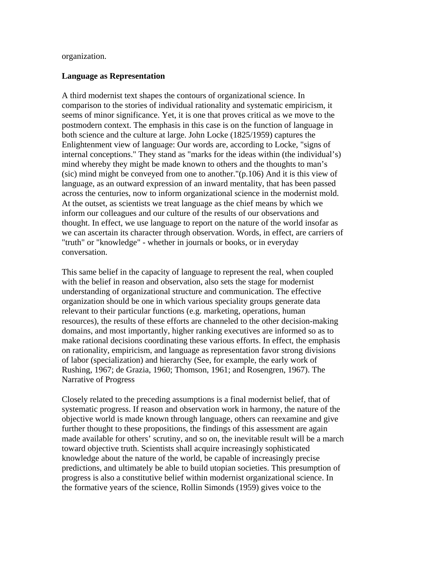#### organization.

#### **Language as Representation**

A third modernist text shapes the contours of organizational science. In comparison to the stories of individual rationality and systematic empiricism, it seems of minor significance. Yet, it is one that proves critical as we move to the postmodern context. The emphasis in this case is on the function of language in both science and the culture at large. John Locke (1825/1959) captures the Enlightenment view of language: Our words are, according to Locke, "signs of internal conceptions." They stand as "marks for the ideas within (the individual's) mind whereby they might be made known to others and the thoughts to man's (sic) mind might be conveyed from one to another."(p.106) And it is this view of language, as an outward expression of an inward mentality, that has been passed across the centuries, now to inform organizational science in the modernist mold. At the outset, as scientists we treat language as the chief means by which we inform our colleagues and our culture of the results of our observations and thought. In effect, we use language to report on the nature of the world insofar as we can ascertain its character through observation. Words, in effect, are carriers of "truth" or "knowledge" - whether in journals or books, or in everyday conversation.

This same belief in the capacity of language to represent the real, when coupled with the belief in reason and observation, also sets the stage for modernist understanding of organizational structure and communication. The effective organization should be one in which various speciality groups generate data relevant to their particular functions (e.g. marketing, operations, human resources), the results of these efforts are channeled to the other decision-making domains, and most importantly, higher ranking executives are informed so as to make rational decisions coordinating these various efforts. In effect, the emphasis on rationality, empiricism, and language as representation favor strong divisions of labor (specialization) and hierarchy (See, for example, the early work of Rushing, 1967; de Grazia, 1960; Thomson, 1961; and Rosengren, 1967). The Narrative of Progress

Closely related to the preceding assumptions is a final modernist belief, that of systematic progress. If reason and observation work in harmony, the nature of the objective world is made known through language, others can reexamine and give further thought to these propositions, the findings of this assessment are again made available for others' scrutiny, and so on, the inevitable result will be a march toward objective truth. Scientists shall acquire increasingly sophisticated knowledge about the nature of the world, be capable of increasingly precise predictions, and ultimately be able to build utopian societies. This presumption of progress is also a constitutive belief within modernist organizational science. In the formative years of the science, Rollin Simonds (1959) gives voice to the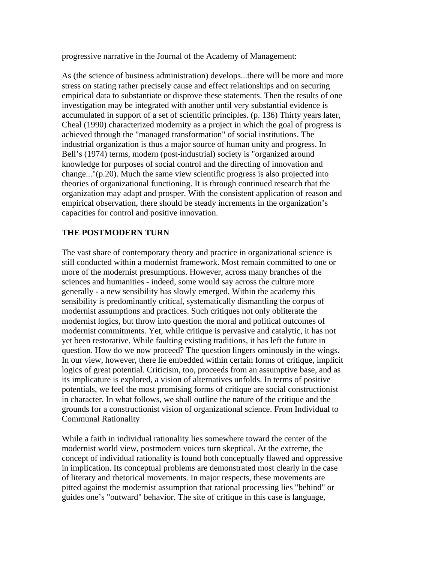progressive narrative in the Journal of the Academy of Management:

As (the science of business administration) develops...there will be more and more stress on stating rather precisely cause and effect relationships and on securing empirical data to substantiate or disprove these statements. Then the results of one investigation may be integrated with another until very substantial evidence is accumulated in support of a set of scientific principles. (p. 136) Thirty years later, Cheal (1990) characterized modernity as a project in which the goal of progress is achieved through the "managed transformation" of social institutions. The industrial organization is thus a major source of human unity and progress. In Bell's (1974) terms, modern (post-industrial) society is "organized around knowledge for purposes of social control and the directing of innovation and change..."(p.20). Much the same view scientific progress is also projected into theories of organizational functioning. It is through continued research that the organization may adapt and prosper. With the consistent application of reason and empirical observation, there should be steady increments in the organization's capacities for control and positive innovation.

## **THE POSTMODERN TURN**

The vast share of contemporary theory and practice in organizational science is still conducted within a modernist framework. Most remain committed to one or more of the modernist presumptions. However, across many branches of the sciences and humanities - indeed, some would say across the culture more generally - a new sensibility has slowly emerged. Within the academy this sensibility is predominantly critical, systematically dismantling the corpus of modernist assumptions and practices. Such critiques not only obliterate the modernist logics, but throw into question the moral and political outcomes of modernist commitments. Yet, while critique is pervasive and catalytic, it has not yet been restorative. While faulting existing traditions, it has left the future in question. How do we now proceed? The question lingers ominously in the wings. In our view, however, there lie embedded within certain forms of critique, implicit logics of great potential. Criticism, too, proceeds from an assumptive base, and as its implicature is explored, a vision of alternatives unfolds. In terms of positive potentials, we feel the most promising forms of critique are social constructionist in character. In what follows, we shall outline the nature of the critique and the grounds for a constructionist vision of organizational science. From Individual to Communal Rationality

While a faith in individual rationality lies somewhere toward the center of the modernist world view, postmodern voices turn skeptical. At the extreme, the concept of individual rationality is found both conceptually flawed and oppressive in implication. Its conceptual problems are demonstrated most clearly in the case of literary and rhetorical movements. In major respects, these movements are pitted against the modernist assumption that rational processing lies "behind" or guides one's "outward" behavior. The site of critique in this case is language,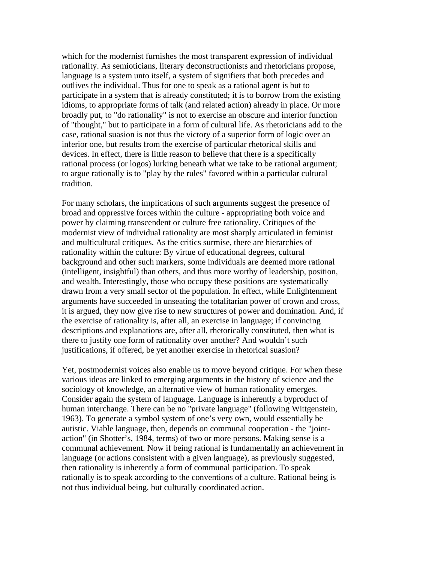which for the modernist furnishes the most transparent expression of individual rationality. As semioticians, literary deconstructionists and rhetoricians propose, language is a system unto itself, a system of signifiers that both precedes and outlives the individual. Thus for one to speak as a rational agent is but to participate in a system that is already constituted; it is to borrow from the existing idioms, to appropriate forms of talk (and related action) already in place. Or more broadly put, to "do rationality" is not to exercise an obscure and interior function of "thought," but to participate in a form of cultural life. As rhetoricians add to the case, rational suasion is not thus the victory of a superior form of logic over an inferior one, but results from the exercise of particular rhetorical skills and devices. In effect, there is little reason to believe that there is a specifically rational process (or logos) lurking beneath what we take to be rational argument; to argue rationally is to "play by the rules" favored within a particular cultural tradition.

For many scholars, the implications of such arguments suggest the presence of broad and oppressive forces within the culture - appropriating both voice and power by claiming transcendent or culture free rationality. Critiques of the modernist view of individual rationality are most sharply articulated in feminist and multicultural critiques. As the critics surmise, there are hierarchies of rationality within the culture: By virtue of educational degrees, cultural background and other such markers, some individuals are deemed more rational (intelligent, insightful) than others, and thus more worthy of leadership, position, and wealth. Interestingly, those who occupy these positions are systematically drawn from a very small sector of the population. In effect, while Enlightenment arguments have succeeded in unseating the totalitarian power of crown and cross, it is argued, they now give rise to new structures of power and domination. And, if the exercise of rationality is, after all, an exercise in language; if convincing descriptions and explanations are, after all, rhetorically constituted, then what is there to justify one form of rationality over another? And wouldn't such justifications, if offered, be yet another exercise in rhetorical suasion?

Yet, postmodernist voices also enable us to move beyond critique. For when these various ideas are linked to emerging arguments in the history of science and the sociology of knowledge, an alternative view of human rationality emerges. Consider again the system of language. Language is inherently a byproduct of human interchange. There can be no "private language" (following Wittgenstein, 1963). To generate a symbol system of one's very own, would essentially be autistic. Viable language, then, depends on communal cooperation - the "jointaction" (in Shotter's, 1984, terms) of two or more persons. Making sense is a communal achievement. Now if being rational is fundamentally an achievement in language (or actions consistent with a given language), as previously suggested, then rationality is inherently a form of communal participation. To speak rationally is to speak according to the conventions of a culture. Rational being is not thus individual being, but culturally coordinated action.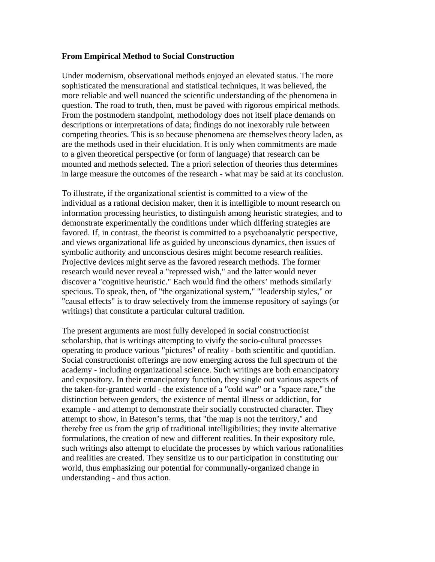#### **From Empirical Method to Social Construction**

Under modernism, observational methods enjoyed an elevated status. The more sophisticated the mensurational and statistical techniques, it was believed, the more reliable and well nuanced the scientific understanding of the phenomena in question. The road to truth, then, must be paved with rigorous empirical methods. From the postmodern standpoint, methodology does not itself place demands on descriptions or interpretations of data; findings do not inexorably rule between competing theories. This is so because phenomena are themselves theory laden, as are the methods used in their elucidation. It is only when commitments are made to a given theoretical perspective (or form of language) that research can be mounted and methods selected. The a priori selection of theories thus determines in large measure the outcomes of the research - what may be said at its conclusion.

To illustrate, if the organizational scientist is committed to a view of the individual as a rational decision maker, then it is intelligible to mount research on information processing heuristics, to distinguish among heuristic strategies, and to demonstrate experimentally the conditions under which differing strategies are favored. If, in contrast, the theorist is committed to a psychoanalytic perspective, and views organizational life as guided by unconscious dynamics, then issues of symbolic authority and unconscious desires might become research realities. Projective devices might serve as the favored research methods. The former research would never reveal a "repressed wish," and the latter would never discover a "cognitive heuristic." Each would find the others' methods similarly specious. To speak, then, of "the organizational system," "leadership styles," or "causal effects" is to draw selectively from the immense repository of sayings (or writings) that constitute a particular cultural tradition.

The present arguments are most fully developed in social constructionist scholarship, that is writings attempting to vivify the socio-cultural processes operating to produce various "pictures" of reality - both scientific and quotidian. Social constructionist offerings are now emerging across the full spectrum of the academy - including organizational science. Such writings are both emancipatory and expository. In their emancipatory function, they single out various aspects of the taken-for-granted world - the existence of a "cold war" or a "space race," the distinction between genders, the existence of mental illness or addiction, for example - and attempt to demonstrate their socially constructed character. They attempt to show, in Bateson's terms, that "the map is not the territory," and thereby free us from the grip of traditional intelligibilities; they invite alternative formulations, the creation of new and different realities. In their expository role, such writings also attempt to elucidate the processes by which various rationalities and realities are created. They sensitize us to our participation in constituting our world, thus emphasizing our potential for communally-organized change in understanding - and thus action.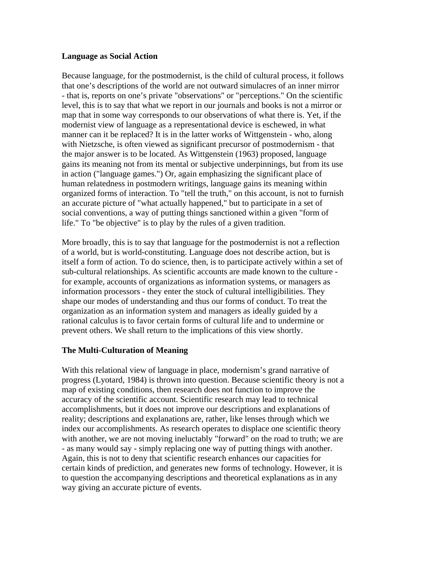## **Language as Social Action**

Because language, for the postmodernist, is the child of cultural process, it follows that one's descriptions of the world are not outward simulacres of an inner mirror - that is, reports on one's private "observations" or "perceptions." On the scientific level, this is to say that what we report in our journals and books is not a mirror or map that in some way corresponds to our observations of what there is. Yet, if the modernist view of language as a representational device is eschewed, in what manner can it be replaced? It is in the latter works of Wittgenstein - who, along with Nietzsche, is often viewed as significant precursor of postmodernism - that the major answer is to be located. As Wittgenstein (1963) proposed, language gains its meaning not from its mental or subjective underpinnings, but from its use in action ("language games.") Or, again emphasizing the significant place of human relatedness in postmodern writings, language gains its meaning within organized forms of interaction. To "tell the truth," on this account, is not to furnish an accurate picture of "what actually happened," but to participate in a set of social conventions, a way of putting things sanctioned within a given "form of life." To "be objective" is to play by the rules of a given tradition.

More broadly, this is to say that language for the postmodernist is not a reflection of a world, but is world-constituting. Language does not describe action, but is itself a form of action. To do science, then, is to participate actively within a set of sub-cultural relationships. As scientific accounts are made known to the culture for example, accounts of organizations as information systems, or managers as information processors - they enter the stock of cultural intelligibilities. They shape our modes of understanding and thus our forms of conduct. To treat the organization as an information system and managers as ideally guided by a rational calculus is to favor certain forms of cultural life and to undermine or prevent others. We shall return to the implications of this view shortly.

## **The Multi-Culturation of Meaning**

With this relational view of language in place, modernism's grand narrative of progress (Lyotard, 1984) is thrown into question. Because scientific theory is not a map of existing conditions, then research does not function to improve the accuracy of the scientific account. Scientific research may lead to technical accomplishments, but it does not improve our descriptions and explanations of reality; descriptions and explanations are, rather, like lenses through which we index our accomplishments. As research operates to displace one scientific theory with another, we are not moving ineluctably "forward" on the road to truth; we are - as many would say - simply replacing one way of putting things with another. Again, this is not to deny that scientific research enhances our capacities for certain kinds of prediction, and generates new forms of technology. However, it is to question the accompanying descriptions and theoretical explanations as in any way giving an accurate picture of events.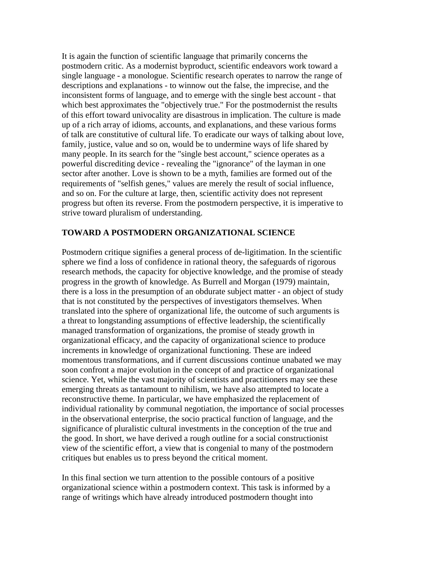It is again the function of scientific language that primarily concerns the postmodern critic. As a modernist byproduct, scientific endeavors work toward a single language - a monologue. Scientific research operates to narrow the range of descriptions and explanations - to winnow out the false, the imprecise, and the inconsistent forms of language, and to emerge with the single best account - that which best approximates the "objectively true." For the postmodernist the results of this effort toward univocality are disastrous in implication. The culture is made up of a rich array of idioms, accounts, and explanations, and these various forms of talk are constitutive of cultural life. To eradicate our ways of talking about love, family, justice, value and so on, would be to undermine ways of life shared by many people. In its search for the "single best account," science operates as a powerful discrediting device - revealing the "ignorance" of the layman in one sector after another. Love is shown to be a myth, families are formed out of the requirements of "selfish genes," values are merely the result of social influence, and so on. For the culture at large, then, scientific activity does not represent progress but often its reverse. From the postmodern perspective, it is imperative to strive toward pluralism of understanding.

## **TOWARD A POSTMODERN ORGANIZATIONAL SCIENCE**

Postmodern critique signifies a general process of de-ligitimation. In the scientific sphere we find a loss of confidence in rational theory, the safeguards of rigorous research methods, the capacity for objective knowledge, and the promise of steady progress in the growth of knowledge. As Burrell and Morgan (1979) maintain, there is a loss in the presumption of an obdurate subject matter - an object of study that is not constituted by the perspectives of investigators themselves. When translated into the sphere of organizational life, the outcome of such arguments is a threat to longstanding assumptions of effective leadership, the scientifically managed transformation of organizations, the promise of steady growth in organizational efficacy, and the capacity of organizational science to produce increments in knowledge of organizational functioning. These are indeed momentous transformations, and if current discussions continue unabated we may soon confront a major evolution in the concept of and practice of organizational science. Yet, while the vast majority of scientists and practitioners may see these emerging threats as tantamount to nihilism, we have also attempted to locate a reconstructive theme. In particular, we have emphasized the replacement of individual rationality by communal negotiation, the importance of social processes in the observational enterprise, the socio practical function of language, and the significance of pluralistic cultural investments in the conception of the true and the good. In short, we have derived a rough outline for a social constructionist view of the scientific effort, a view that is congenial to many of the postmodern critiques but enables us to press beyond the critical moment.

In this final section we turn attention to the possible contours of a positive organizational science within a postmodern context. This task is informed by a range of writings which have already introduced postmodern thought into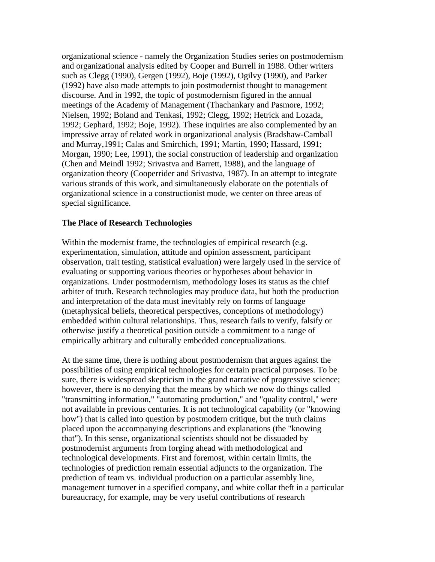organizational science - namely the Organization Studies series on postmodernism and organizational analysis edited by Cooper and Burrell in 1988. Other writers such as Clegg (1990), Gergen (1992), Boje (1992), Ogilvy (1990), and Parker (1992) have also made attempts to join postmodernist thought to management discourse. And in 1992, the topic of postmodernism figured in the annual meetings of the Academy of Management (Thachankary and Pasmore, 1992; Nielsen, 1992; Boland and Tenkasi, 1992; Clegg, 1992; Hetrick and Lozada, 1992; Gephard, 1992; Boje, 1992). These inquiries are also complemented by an impressive array of related work in organizational analysis (Bradshaw-Camball and Murray,1991; Calas and Smirchich, 1991; Martin, 1990; Hassard, 1991; Morgan, 1990; Lee, 1991), the social construction of leadership and organization (Chen and Meindl 1992; Srivastva and Barrett, 1988), and the language of organization theory (Cooperrider and Srivastva, 1987). In an attempt to integrate various strands of this work, and simultaneously elaborate on the potentials of organizational science in a constructionist mode, we center on three areas of special significance.

#### **The Place of Research Technologies**

Within the modernist frame, the technologies of empirical research (e.g. experimentation, simulation, attitude and opinion assessment, participant observation, trait testing, statistical evaluation) were largely used in the service of evaluating or supporting various theories or hypotheses about behavior in organizations. Under postmodernism, methodology loses its status as the chief arbiter of truth. Research technologies may produce data, but both the production and interpretation of the data must inevitably rely on forms of language (metaphysical beliefs, theoretical perspectives, conceptions of methodology) embedded within cultural relationships. Thus, research fails to verify, falsify or otherwise justify a theoretical position outside a commitment to a range of empirically arbitrary and culturally embedded conceptualizations.

At the same time, there is nothing about postmodernism that argues against the possibilities of using empirical technologies for certain practical purposes. To be sure, there is widespread skepticism in the grand narrative of progressive science; however, there is no denying that the means by which we now do things called "transmitting information," "automating production," and "quality control," were not available in previous centuries. It is not technological capability (or "knowing how") that is called into question by postmodern critique, but the truth claims placed upon the accompanying descriptions and explanations (the "knowing that"). In this sense, organizational scientists should not be dissuaded by postmodernist arguments from forging ahead with methodological and technological developments. First and foremost, within certain limits, the technologies of prediction remain essential adjuncts to the organization. The prediction of team vs. individual production on a particular assembly line, management turnover in a specified company, and white collar theft in a particular bureaucracy, for example, may be very useful contributions of research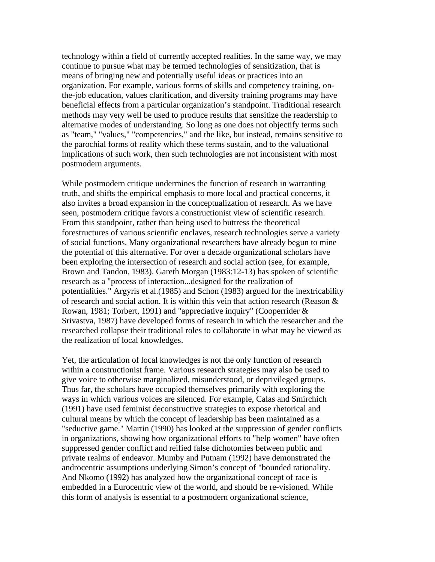technology within a field of currently accepted realities. In the same way, we may continue to pursue what may be termed technologies of sensitization, that is means of bringing new and potentially useful ideas or practices into an organization. For example, various forms of skills and competency training, onthe-job education, values clarification, and diversity training programs may have beneficial effects from a particular organization's standpoint. Traditional research methods may very well be used to produce results that sensitize the readership to alternative modes of understanding. So long as one does not objectify terms such as "team," "values," "competencies," and the like, but instead, remains sensitive to the parochial forms of reality which these terms sustain, and to the valuational implications of such work, then such technologies are not inconsistent with most postmodern arguments.

While postmodern critique undermines the function of research in warranting truth, and shifts the empirical emphasis to more local and practical concerns, it also invites a broad expansion in the conceptualization of research. As we have seen, postmodern critique favors a constructionist view of scientific research. From this standpoint, rather than being used to buttress the theoretical forestructures of various scientific enclaves, research technologies serve a variety of social functions. Many organizational researchers have already begun to mine the potential of this alternative. For over a decade organizational scholars have been exploring the intersection of research and social action (see, for example, Brown and Tandon, 1983). Gareth Morgan (1983:12-13) has spoken of scientific research as a "process of interaction...designed for the realization of potentialities." Argyris et al.(1985) and Schon (1983) argued for the inextricability of research and social action. It is within this vein that action research (Reason & Rowan, 1981; Torbert, 1991) and "appreciative inquiry" (Cooperrider & Srivastva, 1987) have developed forms of research in which the researcher and the researched collapse their traditional roles to collaborate in what may be viewed as the realization of local knowledges.

Yet, the articulation of local knowledges is not the only function of research within a constructionist frame. Various research strategies may also be used to give voice to otherwise marginalized, misunderstood, or deprivileged groups. Thus far, the scholars have occupied themselves primarily with exploring the ways in which various voices are silenced. For example, Calas and Smirchich (1991) have used feminist deconstructive strategies to expose rhetorical and cultural means by which the concept of leadership has been maintained as a "seductive game." Martin (1990) has looked at the suppression of gender conflicts in organizations, showing how organizational efforts to "help women" have often suppressed gender conflict and reified false dichotomies between public and private realms of endeavor. Mumby and Putnam (1992) have demonstrated the androcentric assumptions underlying Simon's concept of "bounded rationality. And Nkomo (1992) has analyzed how the organizational concept of race is embedded in a Eurocentric view of the world, and should be re-visioned. While this form of analysis is essential to a postmodern organizational science,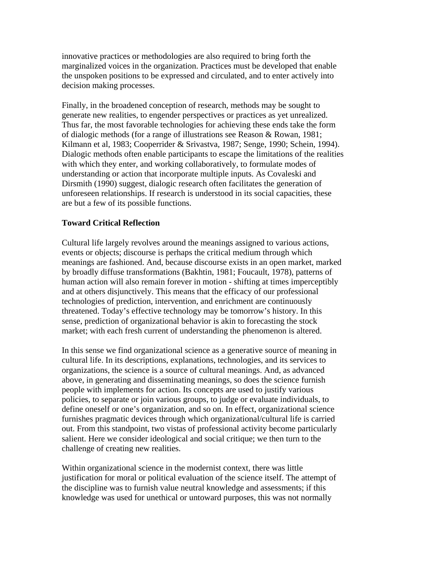innovative practices or methodologies are also required to bring forth the marginalized voices in the organization. Practices must be developed that enable the unspoken positions to be expressed and circulated, and to enter actively into decision making processes.

Finally, in the broadened conception of research, methods may be sought to generate new realities, to engender perspectives or practices as yet unrealized. Thus far, the most favorable technologies for achieving these ends take the form of dialogic methods (for a range of illustrations see Reason & Rowan, 1981; Kilmann et al, 1983; Cooperrider & Srivastva, 1987; Senge, 1990; Schein, 1994). Dialogic methods often enable participants to escape the limitations of the realities with which they enter, and working collaboratively, to formulate modes of understanding or action that incorporate multiple inputs. As Covaleski and Dirsmith (1990) suggest, dialogic research often facilitates the generation of unforeseen relationships. If research is understood in its social capacities, these are but a few of its possible functions.

## **Toward Critical Reflection**

Cultural life largely revolves around the meanings assigned to various actions, events or objects; discourse is perhaps the critical medium through which meanings are fashioned. And, because discourse exists in an open market, marked by broadly diffuse transformations (Bakhtin, 1981; Foucault, 1978), patterns of human action will also remain forever in motion - shifting at times imperceptibly and at others disjunctively. This means that the efficacy of our professional technologies of prediction, intervention, and enrichment are continuously threatened. Today's effective technology may be tomorrow's history. In this sense, prediction of organizational behavior is akin to forecasting the stock market; with each fresh current of understanding the phenomenon is altered.

In this sense we find organizational science as a generative source of meaning in cultural life. In its descriptions, explanations, technologies, and its services to organizations, the science is a source of cultural meanings. And, as advanced above, in generating and disseminating meanings, so does the science furnish people with implements for action. Its concepts are used to justify various policies, to separate or join various groups, to judge or evaluate individuals, to define oneself or one's organization, and so on. In effect, organizational science furnishes pragmatic devices through which organizational/cultural life is carried out. From this standpoint, two vistas of professional activity become particularly salient. Here we consider ideological and social critique; we then turn to the challenge of creating new realities.

Within organizational science in the modernist context, there was little justification for moral or political evaluation of the science itself. The attempt of the discipline was to furnish value neutral knowledge and assessments; if this knowledge was used for unethical or untoward purposes, this was not normally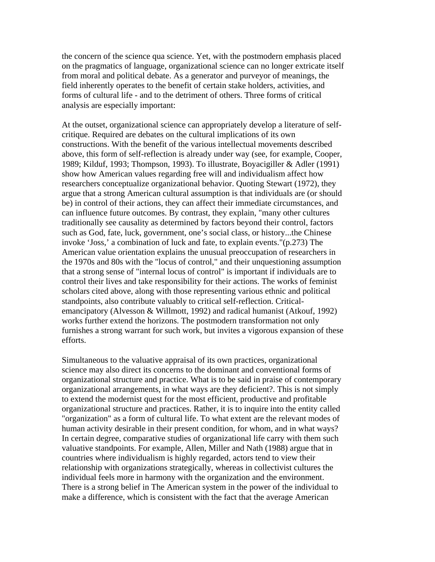the concern of the science qua science. Yet, with the postmodern emphasis placed on the pragmatics of language, organizational science can no longer extricate itself from moral and political debate. As a generator and purveyor of meanings, the field inherently operates to the benefit of certain stake holders, activities, and forms of cultural life - and to the detriment of others. Three forms of critical analysis are especially important:

At the outset, organizational science can appropriately develop a literature of selfcritique. Required are debates on the cultural implications of its own constructions. With the benefit of the various intellectual movements described above, this form of self-reflection is already under way (see, for example, Cooper, 1989; Kilduf, 1993; Thompson, 1993). To illustrate, Boyacigiller & Adler (1991) show how American values regarding free will and individualism affect how researchers conceptualize organizational behavior. Quoting Stewart (1972), they argue that a strong American cultural assumption is that individuals are (or should be) in control of their actions, they can affect their immediate circumstances, and can influence future outcomes. By contrast, they explain, "many other cultures traditionally see causality as determined by factors beyond their control, factors such as God, fate, luck, government, one's social class, or history...the Chinese invoke 'Joss,' a combination of luck and fate, to explain events."(p.273) The American value orientation explains the unusual preoccupation of researchers in the 1970s and 80s with the "locus of control," and their unquestioning assumption that a strong sense of "internal locus of control" is important if individuals are to control their lives and take responsibility for their actions. The works of feminist scholars cited above, along with those representing various ethnic and political standpoints, also contribute valuably to critical self-reflection. Criticalemancipatory (Alvesson & Willmott, 1992) and radical humanist (Atkouf, 1992) works further extend the horizons. The postmodern transformation not only furnishes a strong warrant for such work, but invites a vigorous expansion of these efforts.

Simultaneous to the valuative appraisal of its own practices, organizational science may also direct its concerns to the dominant and conventional forms of organizational structure and practice. What is to be said in praise of contemporary organizational arrangements, in what ways are they deficient?. This is not simply to extend the modernist quest for the most efficient, productive and profitable organizational structure and practices. Rather, it is to inquire into the entity called "organization" as a form of cultural life. To what extent are the relevant modes of human activity desirable in their present condition, for whom, and in what ways? In certain degree, comparative studies of organizational life carry with them such valuative standpoints. For example, Allen, Miller and Nath (1988) argue that in countries where individualism is highly regarded, actors tend to view their relationship with organizations strategically, whereas in collectivist cultures the individual feels more in harmony with the organization and the environment. There is a strong belief in The American system in the power of the individual to make a difference, which is consistent with the fact that the average American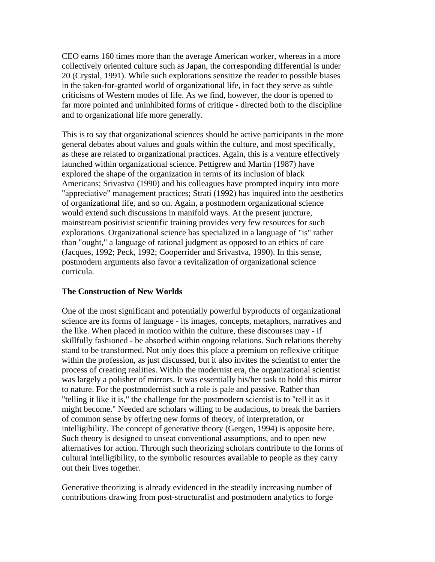CEO earns 160 times more than the average American worker, whereas in a more collectively oriented culture such as Japan, the corresponding differential is under 20 (Crystal, 1991). While such explorations sensitize the reader to possible biases in the taken-for-granted world of organizational life, in fact they serve as subtle criticisms of Western modes of life. As we find, however, the door is opened to far more pointed and uninhibited forms of critique - directed both to the discipline and to organizational life more generally.

This is to say that organizational sciences should be active participants in the more general debates about values and goals within the culture, and most specifically, as these are related to organizational practices. Again, this is a venture effectively launched within organizational science. Pettigrew and Martin (1987) have explored the shape of the organization in terms of its inclusion of black Americans; Srivastva (1990) and his colleagues have prompted inquiry into more "appreciative" management practices; Strati (1992) has inquired into the aesthetics of organizational life, and so on. Again, a postmodern organizational science would extend such discussions in manifold ways. At the present juncture, mainstream positivist scientific training provides very few resources for such explorations. Organizational science has specialized in a language of "is" rather than "ought," a language of rational judgment as opposed to an ethics of care (Jacques, 1992; Peck, 1992; Cooperrider and Srivastva, 1990). In this sense, postmodern arguments also favor a revitalization of organizational science curricula.

## **The Construction of New Worlds**

One of the most significant and potentially powerful byproducts of organizational science are its forms of language - its images, concepts, metaphors, narratives and the like. When placed in motion within the culture, these discourses may - if skillfully fashioned - be absorbed within ongoing relations. Such relations thereby stand to be transformed. Not only does this place a premium on reflexive critique within the profession, as just discussed, but it also invites the scientist to enter the process of creating realities. Within the modernist era, the organizational scientist was largely a polisher of mirrors. It was essentially his/her task to hold this mirror to nature. For the postmodernist such a role is pale and passive. Rather than "telling it like it is," the challenge for the postmodern scientist is to "tell it as it might become." Needed are scholars willing to be audacious, to break the barriers of common sense by offering new forms of theory, of interpretation, or intelligibility. The concept of generative theory (Gergen, 1994) is apposite here. Such theory is designed to unseat conventional assumptions, and to open new alternatives for action. Through such theorizing scholars contribute to the forms of cultural intelligibility, to the symbolic resources available to people as they carry out their lives together.

Generative theorizing is already evidenced in the steadily increasing number of contributions drawing from post-structuralist and postmodern analytics to forge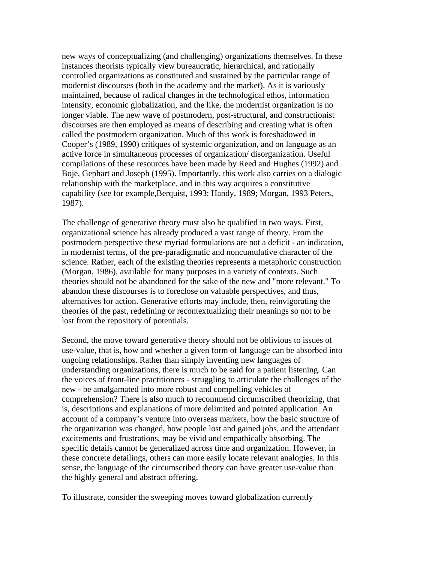new ways of conceptualizing (and challenging) organizations themselves. In these instances theorists typically view bureaucratic, hierarchical, and rationally controlled organizations as constituted and sustained by the particular range of modernist discourses (both in the academy and the market). As it is variously maintained, because of radical changes in the technological ethos, information intensity, economic globalization, and the like, the modernist organization is no longer viable. The new wave of postmodern, post-structural, and constructionist discourses are then employed as means of describing and creating what is often called the postmodern organization. Much of this work is foreshadowed in Cooper's (1989, 1990) critiques of systemic organization, and on language as an active force in simultaneous processes of organization/ disorganization. Useful compilations of these resources have been made by Reed and Hughes (1992) and Boje, Gephart and Joseph (1995). Importantly, this work also carries on a dialogic relationship with the marketplace, and in this way acquires a constitutive capability (see for example,Berquist, 1993; Handy, 1989; Morgan, 1993 Peters, 1987).

The challenge of generative theory must also be qualified in two ways. First, organizational science has already produced a vast range of theory. From the postmodern perspective these myriad formulations are not a deficit - an indication, in modernist terms, of the pre-paradigmatic and noncumulative character of the science. Rather, each of the existing theories represents a metaphoric construction (Morgan, 1986), available for many purposes in a variety of contexts. Such theories should not be abandoned for the sake of the new and "more relevant." To abandon these discourses is to foreclose on valuable perspectives, and thus, alternatives for action. Generative efforts may include, then, reinvigorating the theories of the past, redefining or recontextualizing their meanings so not to be lost from the repository of potentials.

Second, the move toward generative theory should not be oblivious to issues of use-value, that is, how and whether a given form of language can be absorbed into ongoing relationships. Rather than simply inventing new languages of understanding organizations, there is much to be said for a patient listening. Can the voices of front-line practitioners - struggling to articulate the challenges of the new - be amalgamated into more robust and compelling vehicles of comprehension? There is also much to recommend circumscribed theorizing, that is, descriptions and explanations of more delimited and pointed application. An account of a company's venture into overseas markets, how the basic structure of the organization was changed, how people lost and gained jobs, and the attendant excitements and frustrations, may be vivid and empathically absorbing. The specific details cannot be generalized across time and organization. However, in these concrete detailings, others can more easily locate relevant analogies. In this sense, the language of the circumscribed theory can have greater use-value than the highly general and abstract offering.

To illustrate, consider the sweeping moves toward globalization currently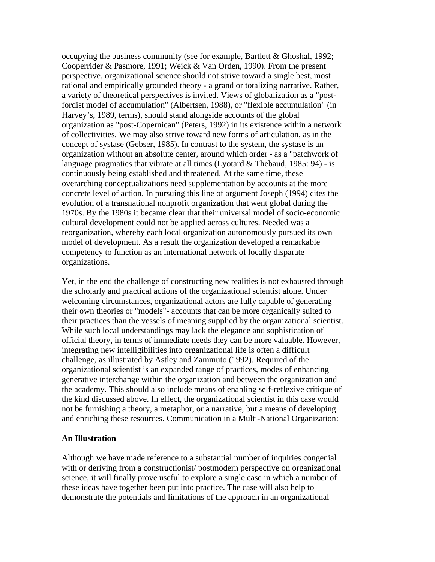occupying the business community (see for example, Bartlett & Ghoshal, 1992; Cooperrider & Pasmore, 1991; Weick & Van Orden, 1990). From the present perspective, organizational science should not strive toward a single best, most rational and empirically grounded theory - a grand or totalizing narrative. Rather, a variety of theoretical perspectives is invited. Views of globalization as a "postfordist model of accumulation" (Albertsen, 1988), or "flexible accumulation" (in Harvey's, 1989, terms), should stand alongside accounts of the global organization as "post-Copernican" (Peters, 1992) in its existence within a network of collectivities. We may also strive toward new forms of articulation, as in the concept of systase (Gebser, 1985). In contrast to the system, the systase is an organization without an absolute center, around which order - as a "patchwork of language pragmatics that vibrate at all times (Lyotard  $&$  Thebaud, 1985: 94) - is continuously being established and threatened. At the same time, these overarching conceptualizations need supplementation by accounts at the more concrete level of action. In pursuing this line of argument Joseph (1994) cites the evolution of a transnational nonprofit organization that went global during the 1970s. By the 1980s it became clear that their universal model of socio-economic cultural development could not be applied across cultures. Needed was a reorganization, whereby each local organization autonomously pursued its own model of development. As a result the organization developed a remarkable competency to function as an international network of locally disparate organizations.

Yet, in the end the challenge of constructing new realities is not exhausted through the scholarly and practical actions of the organizational scientist alone. Under welcoming circumstances, organizational actors are fully capable of generating their own theories or "models"- accounts that can be more organically suited to their practices than the vessels of meaning supplied by the organizational scientist. While such local understandings may lack the elegance and sophistication of official theory, in terms of immediate needs they can be more valuable. However, integrating new intelligibilities into organizational life is often a difficult challenge, as illustrated by Astley and Zammuto (1992). Required of the organizational scientist is an expanded range of practices, modes of enhancing generative interchange within the organization and between the organization and the academy. This should also include means of enabling self-reflexive critique of the kind discussed above. In effect, the organizational scientist in this case would not be furnishing a theory, a metaphor, or a narrative, but a means of developing and enriching these resources. Communication in a Multi-National Organization:

#### **An Illustration**

Although we have made reference to a substantial number of inquiries congenial with or deriving from a constructionist/ postmodern perspective on organizational science, it will finally prove useful to explore a single case in which a number of these ideas have together been put into practice. The case will also help to demonstrate the potentials and limitations of the approach in an organizational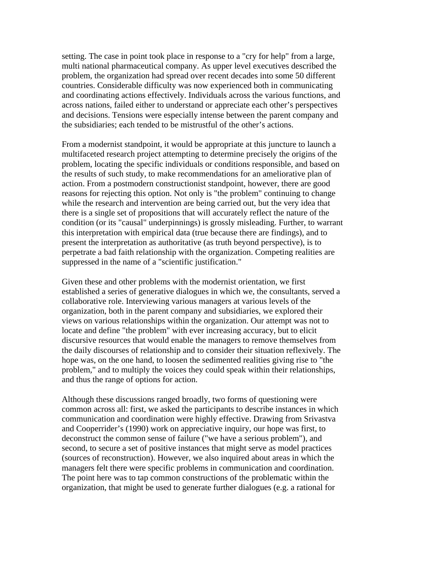setting. The case in point took place in response to a "cry for help" from a large, multi national pharmaceutical company. As upper level executives described the problem, the organization had spread over recent decades into some 50 different countries. Considerable difficulty was now experienced both in communicating and coordinating actions effectively. Individuals across the various functions, and across nations, failed either to understand or appreciate each other's perspectives and decisions. Tensions were especially intense between the parent company and the subsidiaries; each tended to be mistrustful of the other's actions.

From a modernist standpoint, it would be appropriate at this juncture to launch a multifaceted research project attempting to determine precisely the origins of the problem, locating the specific individuals or conditions responsible, and based on the results of such study, to make recommendations for an ameliorative plan of action. From a postmodern constructionist standpoint, however, there are good reasons for rejecting this option. Not only is "the problem" continuing to change while the research and intervention are being carried out, but the very idea that there is a single set of propositions that will accurately reflect the nature of the condition (or its "causal" underpinnings) is grossly misleading. Further, to warrant this interpretation with empirical data (true because there are findings), and to present the interpretation as authoritative (as truth beyond perspective), is to perpetrate a bad faith relationship with the organization. Competing realities are suppressed in the name of a "scientific justification."

Given these and other problems with the modernist orientation, we first established a series of generative dialogues in which we, the consultants, served a collaborative role. Interviewing various managers at various levels of the organization, both in the parent company and subsidiaries, we explored their views on various relationships within the organization. Our attempt was not to locate and define "the problem" with ever increasing accuracy, but to elicit discursive resources that would enable the managers to remove themselves from the daily discourses of relationship and to consider their situation reflexively. The hope was, on the one hand, to loosen the sedimented realities giving rise to "the problem," and to multiply the voices they could speak within their relationships, and thus the range of options for action.

Although these discussions ranged broadly, two forms of questioning were common across all: first, we asked the participants to describe instances in which communication and coordination were highly effective. Drawing from Srivastva and Cooperrider's (1990) work on appreciative inquiry, our hope was first, to deconstruct the common sense of failure ("we have a serious problem"), and second, to secure a set of positive instances that might serve as model practices (sources of reconstruction). However, we also inquired about areas in which the managers felt there were specific problems in communication and coordination. The point here was to tap common constructions of the problematic within the organization, that might be used to generate further dialogues (e.g. a rational for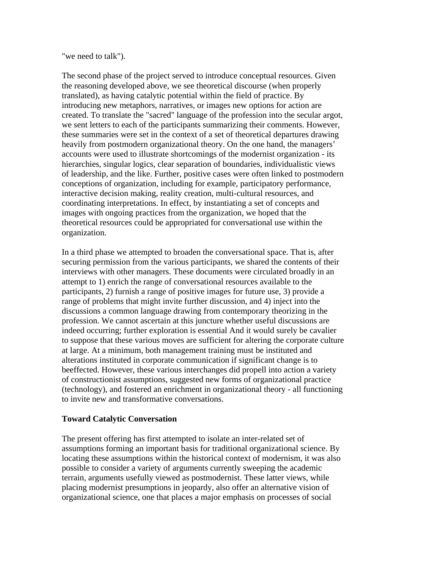#### "we need to talk").

The second phase of the project served to introduce conceptual resources. Given the reasoning developed above, we see theoretical discourse (when properly translated), as having catalytic potential within the field of practice. By introducing new metaphors, narratives, or images new options for action are created. To translate the "sacred" language of the profession into the secular argot, we sent letters to each of the participants summarizing their comments. However, these summaries were set in the context of a set of theoretical departures drawing heavily from postmodern organizational theory. On the one hand, the managers' accounts were used to illustrate shortcomings of the modernist organization - its hierarchies, singular logics, clear separation of boundaries, individualistic views of leadership, and the like. Further, positive cases were often linked to postmodern conceptions of organization, including for example, participatory performance, interactive decision making, reality creation, multi-cultural resources, and coordinating interpretations. In effect, by instantiating a set of concepts and images with ongoing practices from the organization, we hoped that the theoretical resources could be appropriated for conversational use within the organization.

In a third phase we attempted to broaden the conversational space. That is, after securing permission from the various participants, we shared the contents of their interviews with other managers. These documents were circulated broadly in an attempt to 1) enrich the range of conversational resources available to the participants, 2) furnish a range of positive images for future use, 3) provide a range of problems that might invite further discussion, and 4) inject into the discussions a common language drawing from contemporary theorizing in the profession. We cannot ascertain at this juncture whether useful discussions are indeed occurring; further exploration is essential And it would surely be cavalier to suppose that these various moves are sufficient for altering the corporate culture at large. At a minimum, both management training must be instituted and alterations instituted in corporate communication if significant change is to beeffected. However, these various interchanges did propell into action a variety of constructionist assumptions, suggested new forms of organizational practice (technology), and fostered an enrichment in organizational theory - all functioning to invite new and transformative conversations.

#### **Toward Catalytic Conversation**

The present offering has first attempted to isolate an inter-related set of assumptions forming an important basis for traditional organizational science. By locating these assumptions within the historical context of modernism, it was also possible to consider a variety of arguments currently sweeping the academic terrain, arguments usefully viewed as postmodernist. These latter views, while placing modernist presumptions in jeopardy, also offer an alternative vision of organizational science, one that places a major emphasis on processes of social